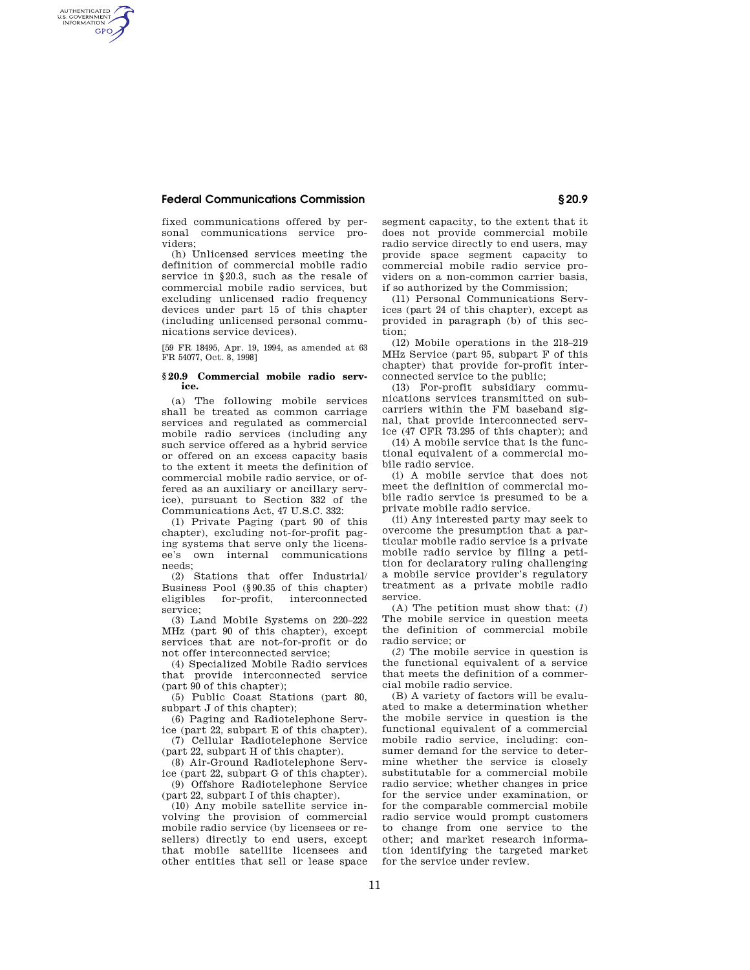## **Federal Communications Commission § 20.9**

AUTHENTICATED<br>U.S. GOVERNMENT<br>INFORMATION **GPO** 

> fixed communications offered by personal communications service providers;

(h) Unlicensed services meeting the definition of commercial mobile radio service in §20.3, such as the resale of commercial mobile radio services, but excluding unlicensed radio frequency devices under part 15 of this chapter (including unlicensed personal communications service devices).

[59 FR 18495, Apr. 19, 1994, as amended at 63 FR 54077, Oct. 8, 1998]

## **§ 20.9 Commercial mobile radio service.**

(a) The following mobile services shall be treated as common carriage services and regulated as commercial mobile radio services (including any such service offered as a hybrid service or offered on an excess capacity basis to the extent it meets the definition of commercial mobile radio service, or offered as an auxiliary or ancillary service), pursuant to Section 332 of the Communications Act, 47 U.S.C. 332:

(1) Private Paging (part 90 of this chapter), excluding not-for-profit paging systems that serve only the licensee's own internal communications needs;

(2) Stations that offer Industrial/ Business Pool (§90.35 of this chapter) eligibles for-profit, interconnected interconnected service;

(3) Land Mobile Systems on 220–222 MHz (part 90 of this chapter), except services that are not-for-profit or do not offer interconnected service;

(4) Specialized Mobile Radio services that provide interconnected service (part 90 of this chapter);

(5) Public Coast Stations (part 80, subpart J of this chapter);

(6) Paging and Radiotelephone Service (part 22, subpart E of this chapter).

(7) Cellular Radiotelephone Service (part 22, subpart H of this chapter).

(8) Air-Ground Radiotelephone Serv-

ice (part 22, subpart G of this chapter). (9) Offshore Radiotelephone Service (part 22, subpart I of this chapter).

(10) Any mobile satellite service involving the provision of commercial mobile radio service (by licensees or resellers) directly to end users, except that mobile satellite licensees and other entities that sell or lease space segment capacity, to the extent that it does not provide commercial mobile radio service directly to end users, may provide space segment capacity to commercial mobile radio service providers on a non-common carrier basis, if so authorized by the Commission;

(11) Personal Communications Services (part 24 of this chapter), except as provided in paragraph (b) of this section;

(12) Mobile operations in the 218–219 MHz Service (part 95, subpart F of this chapter) that provide for-profit interconnected service to the public;

(13) For-profit subsidiary communications services transmitted on subcarriers within the FM baseband signal, that provide interconnected service (47 CFR 73.295 of this chapter); and

(14) A mobile service that is the functional equivalent of a commercial mobile radio service.

(i) A mobile service that does not meet the definition of commercial mobile radio service is presumed to be a private mobile radio service.

(ii) Any interested party may seek to overcome the presumption that a particular mobile radio service is a private mobile radio service by filing a petition for declaratory ruling challenging a mobile service provider's regulatory treatment as a private mobile radio service.

(A) The petition must show that: (*1*) The mobile service in question meets the definition of commercial mobile radio service; or

(*2*) The mobile service in question is the functional equivalent of a service that meets the definition of a commercial mobile radio service.

(B) A variety of factors will be evaluated to make a determination whether the mobile service in question is the functional equivalent of a commercial mobile radio service, including: consumer demand for the service to determine whether the service is closely substitutable for a commercial mobile radio service; whether changes in price for the service under examination, or for the comparable commercial mobile radio service would prompt customers to change from one service to the other; and market research information identifying the targeted market for the service under review.